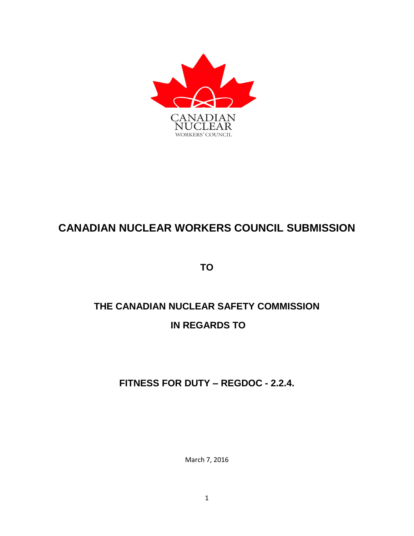

## **CANADIAN NUCLEAR WORKERS COUNCIL SUBMISSION**

**TO**

# **THE CANADIAN NUCLEAR SAFETY COMMISSION IN REGARDS TO**

**FITNESS FOR DUTY – REGDOC - 2.2.4.**

March 7, 2016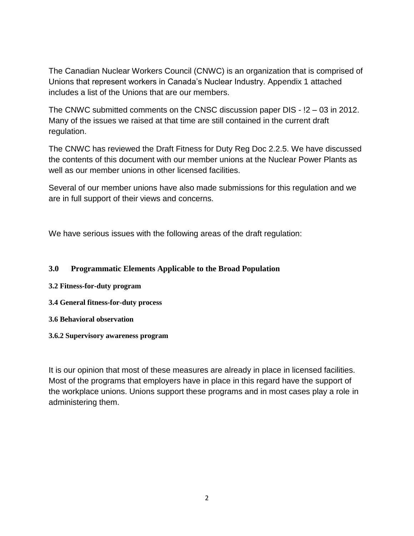The Canadian Nuclear Workers Council (CNWC) is an organization that is comprised of Unions that represent workers in Canada's Nuclear Industry. Appendix 1 attached includes a list of the Unions that are our members.

The CNWC submitted comments on the CNSC discussion paper DIS - !2 – 03 in 2012. Many of the issues we raised at that time are still contained in the current draft regulation.

The CNWC has reviewed the Draft Fitness for Duty Reg Doc 2.2.5. We have discussed the contents of this document with our member unions at the Nuclear Power Plants as well as our member unions in other licensed facilities.

Several of our member unions have also made submissions for this regulation and we are in full support of their views and concerns.

We have serious issues with the following areas of the draft regulation:

#### **3.0 Programmatic Elements Applicable to the Broad Population**

- **3.2 Fitness-for-duty program**
- **3.4 General fitness-for-duty process**
- **3.6 Behavioral observation**
- **3.6.2 Supervisory awareness program**

It is our opinion that most of these measures are already in place in licensed facilities. Most of the programs that employers have in place in this regard have the support of the workplace unions. Unions support these programs and in most cases play a role in administering them.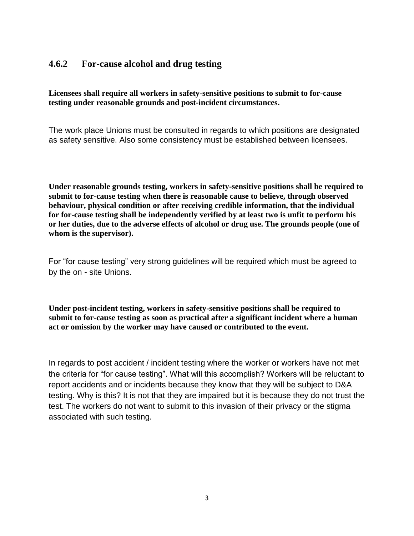#### **4.6.2 For-cause alcohol and drug testing**

**Licensees shall require all workers in safety-sensitive positions to submit to for-cause testing under reasonable grounds and post-incident circumstances.** 

The work place Unions must be consulted in regards to which positions are designated as safety sensitive. Also some consistency must be established between licensees.

**Under reasonable grounds testing, workers in safety-sensitive positions shall be required to submit to for-cause testing when there is reasonable cause to believe, through observed behaviour, physical condition or after receiving credible information, that the individual for for-cause testing shall be independently verified by at least two is unfit to perform his or her duties, due to the adverse effects of alcohol or drug use. The grounds people (one of whom is the supervisor).** 

For "for cause testing" very strong guidelines will be required which must be agreed to by the on - site Unions.

**Under post-incident testing, workers in safety-sensitive positions shall be required to submit to for-cause testing as soon as practical after a significant incident where a human act or omission by the worker may have caused or contributed to the event.** 

In regards to post accident / incident testing where the worker or workers have not met the criteria for "for cause testing". What will this accomplish? Workers will be reluctant to report accidents and or incidents because they know that they will be subject to D&A testing. Why is this? It is not that they are impaired but it is because they do not trust the test. The workers do not want to submit to this invasion of their privacy or the stigma associated with such testing.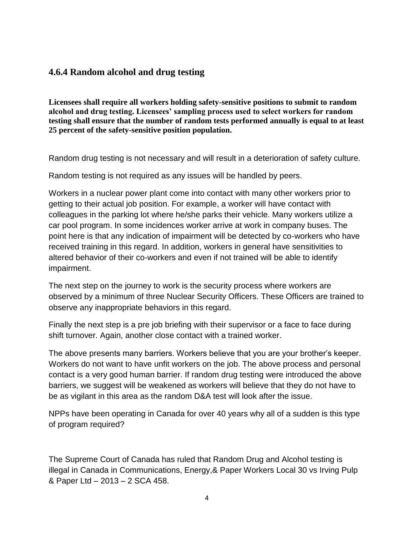#### **4.6.4 Random alcohol and drug testing**

**Licensees shall require all workers holding safety-sensitive positions to submit to random alcohol and drug testing. Licensees' sampling process used to select workers for random testing shall ensure that the number of random tests performed annually is equal to at least 25 percent of the safety-sensitive position population.** 

Random drug testing is not necessary and will result in a deterioration of safety culture.

Random testing is not required as any issues will be handled by peers.

Workers in a nuclear power plant come into contact with many other workers prior to getting to their actual job position. For example, a worker will have contact with colleagues in the parking lot where he/she parks their vehicle. Many workers utilize a car pool program. In some incidences worker arrive at work in company buses. The point here is that any indication of impairment will be detected by co-workers who have received training in this regard. In addition, workers in general have sensitivities to altered behavior of their co-workers and even if not trained will be able to identify impairment.

The next step on the journey to work is the security process where workers are observed by a minimum of three Nuclear Security Officers. These Officers are trained to observe any inappropriate behaviors in this regard.

Finally the next step is a pre job briefing with their supervisor or a face to face during shift turnover. Again, another close contact with a trained worker.

The above presents many barriers. Workers believe that you are your brother's keeper. Workers do not want to have unfit workers on the job. The above process and personal contact is a very good human barrier. If random drug testing were introduced the above barriers, we suggest will be weakened as workers will believe that they do not have to be as vigilant in this area as the random D&A test will look after the issue.

NPPs have been operating in Canada for over 40 years why all of a sudden is this type of program required?

The Supreme Court of Canada has ruled that Random Drug and Alcohol testing is illegal in Canada in Communications, Energy,& Paper Workers Local 30 vs Irving Pulp & Paper Ltd – 2013 – 2 SCA 458.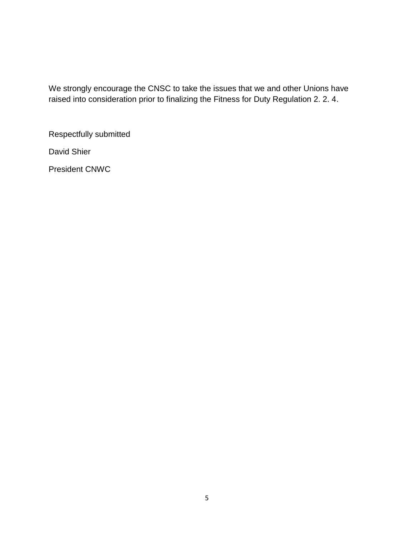We strongly encourage the CNSC to take the issues that we and other Unions have raised into consideration prior to finalizing the Fitness for Duty Regulation 2. 2. 4.

Respectfully submitted

David Shier

President CNWC